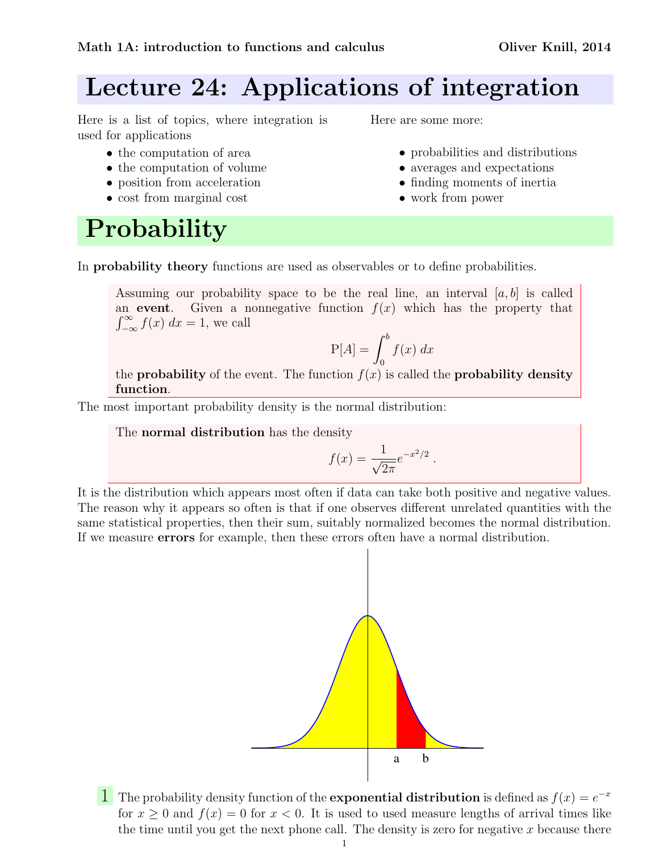# Lecture 24: Applications of integration

Here is a list of topics, where integration is used for applications

- the computation of area
- the computation of volume
- position from acceleration
- cost from marginal cost

# Probability

Here are some more:

- probabilities and distributions
- averages and expectations
- finding moments of inertia
- work from power

In **probability theory** functions are used as observables or to define probabilities.

Assuming our probability space to be the real line, an interval  $[a, b]$  is called an event. Given a nonnegative function  $f(x)$  which has the property that  $\int_{-\infty}^{\infty} f(x) dx = 1$ , we call

$$
P[A] = \int_0^b f(x) \ dx
$$

the **probability** of the event. The function  $f(x)$  is called the **probability density** function.

The most important probability density is the normal distribution:

The normal distribution has the density

$$
f(x) = \frac{1}{\sqrt{2\pi}} e^{-x^2/2} .
$$

It is the distribution which appears most often if data can take both positive and negative values. The reason why it appears so often is that if one observes different unrelated quantities with the same statistical properties, then their sum, suitably normalized becomes the normal distribution. If we measure errors for example, then these errors often have a normal distribution.



**1** The probability density function of the **exponential distribution** is defined as  $f(x) = e^{-x}$ for  $x \geq 0$  and  $f(x) = 0$  for  $x < 0$ . It is used to used measure lengths of arrival times like the time until you get the next phone call. The density is zero for negative  $x$  because there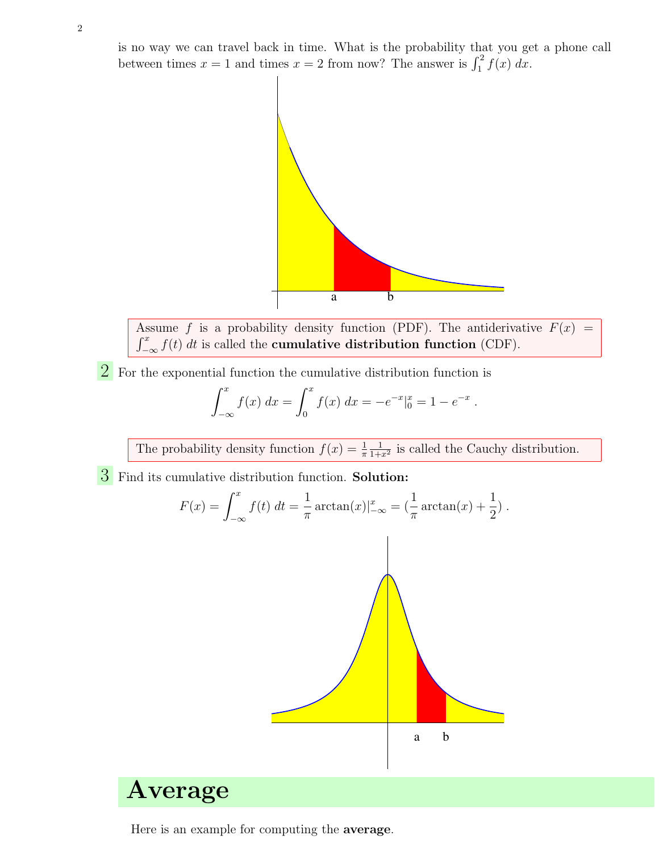is no way we can travel back in time. What is the probability that you get a phone call between times  $x = 1$  and times  $x = 2$  from now? The answer is  $\int_1^2 f(x) dx$ .



Assume f is a probability density function (PDF). The antiderivative  $F(x)$  =  $\int_{-\infty}^{x} f(t) dt$  is called the **cumulative distribution function** (CDF).

2 For the exponential function the cumulative distribution function is

$$
\int_{-\infty}^{x} f(x) dx = \int_{0}^{x} f(x) dx = -e^{-x} \Big|_{0}^{x} = 1 - e^{-x}.
$$

The probability density function  $f(x) = \frac{1}{\pi}$ 1  $\frac{1}{1+x^2}$  is called the Cauchy distribution.

3 Find its cumulative distribution function. Solution:

$$
F(x) = \int_{-\infty}^{x} f(t) dt = \frac{1}{\pi} \arctan(x) \Big|_{-\infty}^{x} = \left(\frac{1}{\pi} \arctan(x) + \frac{1}{2}\right).
$$



Average

Here is an example for computing the average.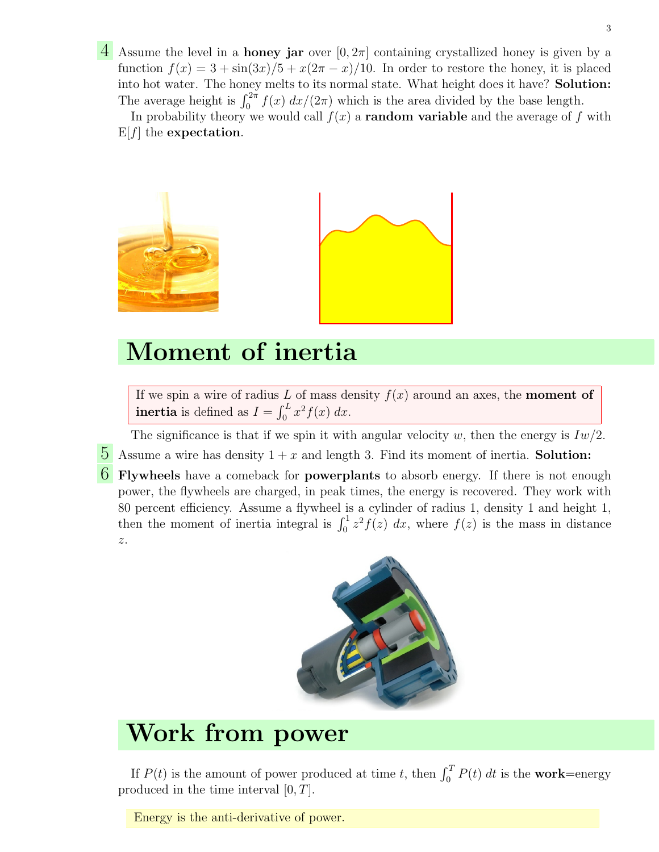4 Assume the level in a **honey jar** over  $[0, 2\pi]$  containing crystallized honey is given by a function  $f(x) = 3 + \sin(3x)/5 + x(2\pi - x)/10$ . In order to restore the honey, it is placed into hot water. The honey melts to its normal state. What height does it have? Solution: The average height is  $\int_0^{2\pi} f(x) dx/(2\pi)$  which is the area divided by the base length.

In probability theory we would call  $f(x)$  a **random variable** and the average of f with  $E[f]$  the expectation.



### Moment of inertia

If we spin a wire of radius L of mass density  $f(x)$  around an axes, the **moment of inertia** is defined as  $I = \int_0^L x^2 f(x) dx$ .

The significance is that if we spin it with angular velocity w, then the energy is  $Iw/2$ .

5 Assume a wire has density  $1 + x$  and length 3. Find its moment of inertia. Solution:

 $6$  Flywheels have a comeback for powerplants to absorb energy. If there is not enough power, the flywheels are charged, in peak times, the energy is recovered. They work with 80 percent efficiency. Assume a flywheel is a cylinder of radius 1, density 1 and height 1, then the moment of inertia integral is  $\int_0^1 z^2 f(z) \, dx$ , where  $f(z)$  is the mass in distance  $\boldsymbol{z}.$ 



### Work from power

If  $P(t)$  is the amount of power produced at time t, then  $\int_0^T P(t) dt$  is the **work**=energy produced in the time interval  $[0, T]$ .

Energy is the anti-derivative of power.